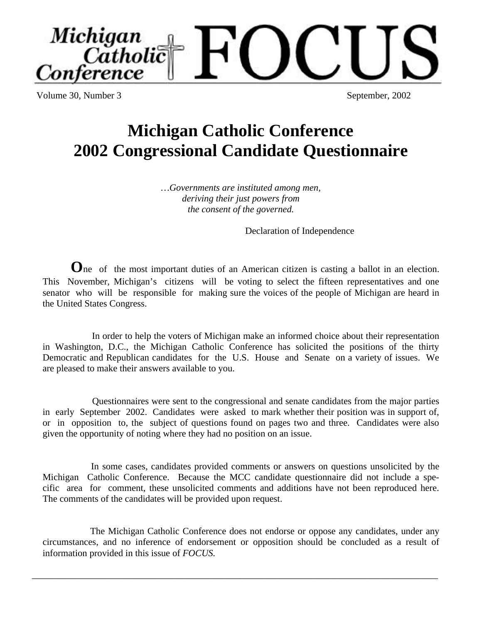Volume 30, Number 3 September, 2002

# **Michigan Catholic Conference 2002 Congressional Candidate Questionnaire**

*…Governments are instituted among men, deriving their just powers from the consent of the governed.*

Declaration of Independence

**O**ne of the most important duties of an American citizen is casting a ballot in an election. This November, Michigan's citizens will be voting to select the fifteen representatives and one senator who will be responsible for making sure the voices of the people of Michigan are heard in the United States Congress.

 In order to help the voters of Michigan make an informed choice about their representation in Washington, D.C., the Michigan Catholic Conference has solicited the positions of the thirty Democratic and Republican candidates for the U.S. House and Senate on a variety of issues. We are pleased to make their answers available to you.

 Questionnaires were sent to the congressional and senate candidates from the major parties in early September 2002. Candidates were asked to mark whether their position was in support of, or in opposition to, the subject of questions found on pages two and three. Candidates were also given the opportunity of noting where they had no position on an issue.

 In some cases, candidates provided comments or answers on questions unsolicited by the Michigan Catholic Conference. Because the MCC candidate questionnaire did not include a specific area for comment, these unsolicited comments and additions have not been reproduced here. The comments of the candidates will be provided upon request.

 The Michigan Catholic Conference does not endorse or oppose any candidates, under any circumstances, and no inference of endorsement or opposition should be concluded as a result of information provided in this issue of *FOCUS.*

\_\_\_\_\_\_\_\_\_\_\_\_\_\_\_\_\_\_\_\_\_\_\_\_\_\_\_\_\_\_\_\_\_\_\_\_\_\_\_\_\_\_\_\_\_\_\_\_\_\_\_\_\_\_\_\_\_\_\_\_\_\_\_\_\_\_\_\_\_\_\_\_\_\_\_\_\_\_\_\_\_\_\_\_\_\_

Michigan Catholic onference **b**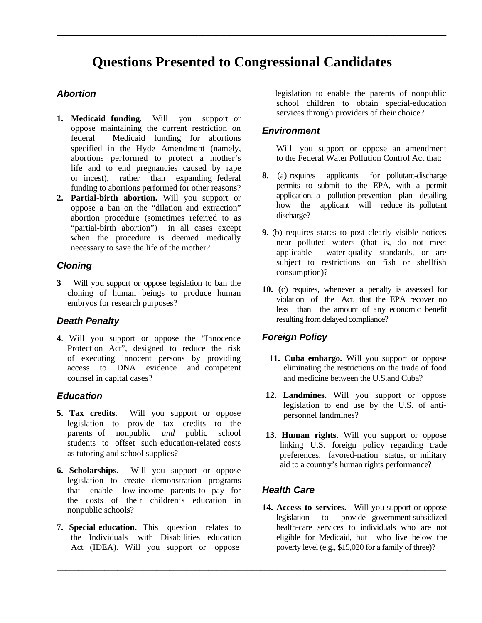## **Questions Presented to Congressional Candidates**

**\_\_\_\_\_\_\_\_\_\_\_\_\_\_\_\_\_\_\_\_\_\_\_\_\_\_\_\_\_\_\_\_\_\_\_\_\_\_\_\_\_\_\_\_\_\_\_\_\_\_\_\_\_\_\_**

#### *Abortion*

- **1. Medicaid funding**. Will you support or oppose maintaining the current restriction on federal Medicaid funding for abortions specified in the Hyde Amendment (namely, abortions performed to protect a mother's life and to end pregnancies caused by rape or incest), rather than expanding federal funding to abortions performed for other reasons?
- **2. Partial-birth abortion.** Will you support or oppose a ban on the "dilation and extraction" abortion procedure (sometimes referred to as "partial-birth abortion") in all cases except when the procedure is deemed medically necessary to save the life of the mother?

#### *Cloning*

**3** Will you support or oppose legislation to ban the cloning of human beings to produce human embryos for research purposes?

#### *Death Penalty*

**4**. Will you support or oppose the "Innocence Protection Act", designed to reduce the risk of executing innocent persons by providing access to DNA evidence and competent counsel in capital cases?

#### *Education*

- **5. Tax credits.** Will you support or oppose legislation to provide tax credits to the parents of nonpublic *and* public school students to offset such education-related costs as tutoring and school supplies?
- **6. Scholarships.** Will you support or oppose legislation to create demonstration programs that enable low-income parents to pay for the costs of their children's education in nonpublic schools?
- **7. Special education.** This question relates to the Individuals with Disabilities education Act (IDEA). Will you support or oppose

legislation to enable the parents of nonpublic school children to obtain special-education services through providers of their choice?

#### *Environment*

Will you support or oppose an amendment to the Federal Water Pollution Control Act that:

- **8.** (a) requires applicants for pollutant-discharge permits to submit to the EPA, with a permit application, a pollution-prevention plan detailing how the applicant will reduce its pollutant discharge?
- **9.** (b) requires states to post clearly visible notices near polluted waters (that is, do not meet applicable water-quality standards, or are subject to restrictions on fish or shellfish consumption)?
- **10.** (c) requires, whenever a penalty is assessed for violation of the Act, that the EPA recover no less than the amount of any economic benefit resulting from delayed compliance?

#### *Foreign Policy*

- **11. Cuba embargo.** Will you support or oppose eliminating the restrictions on the trade of food and medicine between the U.S. and Cuba?
- **12. Landmines.** Will you support or oppose legislation to end use by the U.S. of antipersonnel landmines?
- **13. Human rights.** Will you support or oppose linking U.S. foreign policy regarding trade preferences, favored-nation status, or military aid to a country's human rights performance?

#### *Health Care*

**\_\_\_\_\_\_\_\_\_\_\_\_\_\_\_\_\_\_\_\_\_\_\_\_\_\_\_\_\_\_\_\_\_\_\_\_\_\_\_\_\_\_\_\_\_\_\_\_\_\_\_\_\_\_\_\_\_\_\_\_\_\_\_\_\_\_\_\_\_\_\_\_\_\_\_\_\_\_\_\_\_\_\_\_\_\_\_\_\_\_**

**14. Access to services.** Will you support or oppose legislation to provide government-subsidized health-care services to individuals who are not eligible for Medicaid, but who live below the poverty level (e.g., \$15,020 for a family of three)?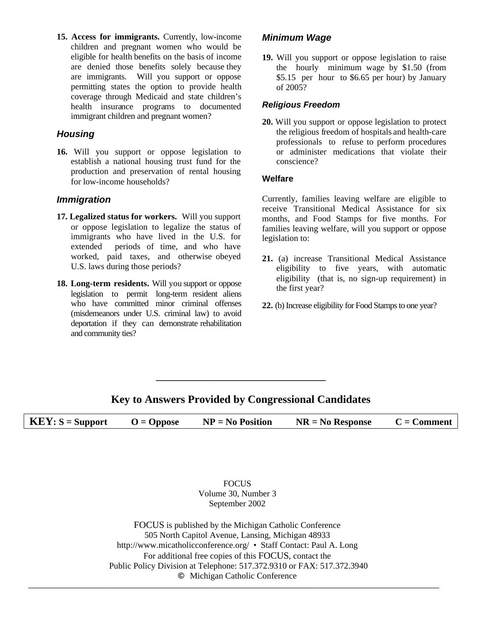**15. Access for immigrants.** Currently, low-income children and pregnant women who would be eligible for health benefits on the basis of income are denied those benefits solely because they are immigrants. Will you support or oppose permitting states the option to provide health coverage through Medicaid and state children's health insurance programs to documented immigrant children and pregnant women?

#### *Housing*

**16.** Will you support or oppose legislation to establish a national housing trust fund for the production and preservation of rental housing for low-income households?

#### *Immigration*

- **17. Legalized status for workers.** Will you support or oppose legislation to legalize the status of immigrants who have lived in the U.S. for extended periods of time, and who have worked, paid taxes, and otherwise obeyed U.S. laws during those periods?
- **18. Long-term residents.** Will you support or oppose legislation to permit long-term resident aliens who have committed minor criminal offenses (misdemeanors under U.S. criminal law) to avoid deportation if they can demonstrate rehabilitation and community ties?

#### *Minimum Wage*

**19.** Will you support or oppose legislation to raise the hourly minimum wage by \$1.50 (from \$5.15 per hour to \$6.65 per hour) by January of 2005?

#### *Religious Freedom*

**20.** Will you support or oppose legislation to protect the religious freedom of hospitals and health-care professionals to refuse to perform procedures or administer medications that violate their conscience?

#### **Welfare**

Currently, families leaving welfare are eligible to receive Transitional Medical Assistance for six months, and Food Stamps for five months. For families leaving welfare, will you support or oppose legislation to:

- **21.** (a) increase Transitional Medical Assistance eligibility to five years, with automatic eligibility (that is, no sign-up requirement) in the first year?
- **22.** (b) Increase eligibility for Food Stamps to one year?

### **Key to Answers Provided by Congressional Candidates**

**\_\_\_\_\_\_\_\_\_\_\_\_\_\_\_\_\_\_\_\_\_\_\_\_\_\_\_\_\_\_\_\_\_\_\_\_**

**KEY**:  $S =$  Support  $O =$  Oppose  $NP = No$  Position  $NR = No$  Response  $C =$  Comment

FOCUS Volume 30, Number 3 September 2002

FOCUS is published by the Michigan Catholic Conference 505 North Capitol Avenue, Lansing, Michigan 48933 http://www.micatholicconference.org/ • Staff Contact: Paul A. Long For additional free copies of this FOCUS, contact the Public Policy Division at Telephone: 517.372.9310 or FAX: 517.372.3940 **©** Michigan Catholic Conference –––––––––––––––––––––––––––––––––––––––––––––––––––––––––––––––––––––––––––––––––––––––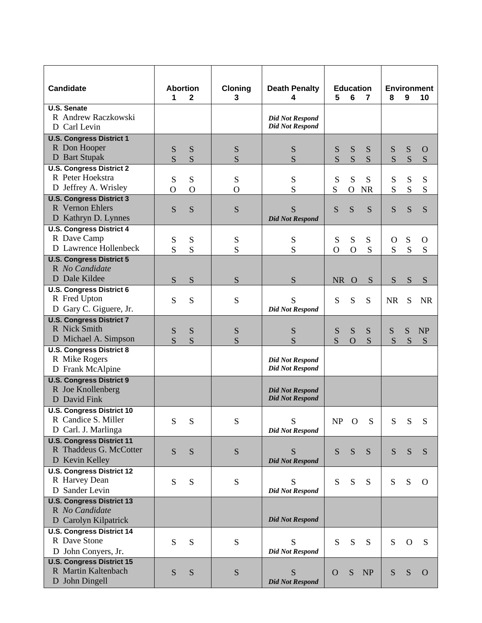| <b>Candidate</b>                                        | <b>Abortion</b><br>1 | $\mathbf{2}$   | <b>Cloning</b><br>3 | <b>Death Penalty</b><br>4                        | 5            | 6              | <b>Education</b><br>$\overline{7}$ | 8            | 9         | <b>Environment</b><br>10 |
|---------------------------------------------------------|----------------------|----------------|---------------------|--------------------------------------------------|--------------|----------------|------------------------------------|--------------|-----------|--------------------------|
| <b>U.S. Senate</b>                                      |                      |                |                     |                                                  |              |                |                                    |              |           |                          |
| R Andrew Raczkowski                                     |                      |                |                     | <b>Did Not Respond</b>                           |              |                |                                    |              |           |                          |
| D Carl Levin                                            |                      |                |                     | <b>Did Not Respond</b>                           |              |                |                                    |              |           |                          |
| <b>U.S. Congress District 1</b>                         |                      |                |                     |                                                  |              |                |                                    |              |           |                          |
| R Don Hooper                                            | S                    | S              | S                   | S                                                | S            | S              | S                                  | S            | S         | O                        |
| D Bart Stupak                                           | S                    | S              | S                   | S                                                | S            | S              | S                                  | S            | S         | S                        |
| <b>U.S. Congress District 2</b>                         |                      |                |                     |                                                  |              |                |                                    |              |           |                          |
| R Peter Hoekstra                                        | S                    | S              | S                   | S                                                | S            | S              | S                                  | ${\bf S}$    | S         | S                        |
| D Jeffrey A. Wrisley                                    | $\mathbf{O}$         | $\overline{O}$ | $\mathbf{O}$        | S                                                | S            | $\mathbf{O}$   | <b>NR</b>                          | S            | S         | S                        |
| <b>U.S. Congress District 3</b>                         |                      |                |                     |                                                  |              |                |                                    |              |           |                          |
| R Vernon Ehlers                                         | S                    | S              | S                   | S                                                | S            | S              | S                                  | S            | S         | S                        |
| D Kathryn D. Lynnes                                     |                      |                |                     | <b>Did Not Respond</b>                           |              |                |                                    |              |           |                          |
| <b>U.S. Congress District 4</b>                         |                      |                |                     |                                                  |              |                |                                    |              |           |                          |
| R Dave Camp                                             | ${\bf S}$            | ${\bf S}$      | S                   | S                                                | S            | ${\bf S}$      | S                                  | $\mathbf{O}$ | S         | $\Omega$                 |
| D Lawrence Hollenbeck                                   | S                    | S              | S                   | S                                                | $\Omega$     | $\overline{O}$ | S                                  | S            | S         | S                        |
| <b>U.S. Congress District 5</b>                         |                      |                |                     |                                                  |              |                |                                    |              |           |                          |
| R No Candidate                                          |                      |                |                     |                                                  |              |                |                                    |              |           |                          |
| D Dale Kildee                                           | S                    | S              | S                   | S                                                | NR O         |                | S                                  | S            | S         | S                        |
| <b>U.S. Congress District 6</b>                         |                      |                |                     |                                                  |              |                |                                    |              |           |                          |
| R Fred Upton                                            | S                    | S              | S                   | S                                                | S            | S              | S                                  | <b>NR</b>    | S         | <b>NR</b>                |
| D Gary C. Giguere, Jr.                                  |                      |                |                     | <b>Did Not Respond</b>                           |              |                |                                    |              |           |                          |
| <b>U.S. Congress District 7</b>                         |                      |                |                     |                                                  |              |                |                                    |              |           |                          |
| R Nick Smith                                            | S                    | S              | S                   | S                                                | S            | S              | S                                  | S            | S         | <b>NP</b>                |
| D Michael A. Simpson                                    | S                    | S              | S                   | S                                                | S            | $\overline{O}$ | S                                  | S            | S         | S                        |
| <b>U.S. Congress District 8</b>                         |                      |                |                     |                                                  |              |                |                                    |              |           |                          |
| R Mike Rogers                                           |                      |                |                     | <b>Did Not Respond</b><br><b>Did Not Respond</b> |              |                |                                    |              |           |                          |
| D Frank McAlpine                                        |                      |                |                     |                                                  |              |                |                                    |              |           |                          |
| <b>U.S. Congress District 9</b><br>R Joe Knollenberg    |                      |                |                     |                                                  |              |                |                                    |              |           |                          |
| D David Fink                                            |                      |                |                     | <b>Did Not Respond</b><br><b>Did Not Respond</b> |              |                |                                    |              |           |                          |
|                                                         |                      |                |                     |                                                  |              |                |                                    |              |           |                          |
| <b>U.S. Congress District 10</b><br>R Candice S. Miller |                      |                |                     |                                                  |              |                |                                    |              |           |                          |
| D Carl. J. Marlinga                                     | S                    | S              | S                   | S<br><b>Did Not Respond</b>                      | NP O         |                | S                                  | S            | S         | S                        |
| <b>U.S. Congress District 11</b>                        |                      |                |                     |                                                  |              |                |                                    |              |           |                          |
| R Thaddeus G. McCotter                                  |                      |                |                     |                                                  |              |                |                                    |              |           |                          |
| D Kevin Kelley                                          | S                    | S              | ${\bf S}$           | S<br><b>Did Not Respond</b>                      | S            | S              | S                                  | S            | S         | S                        |
| <b>U.S. Congress District 12</b>                        |                      |                |                     |                                                  |              |                |                                    |              |           |                          |
| R Harvey Dean                                           | S                    | S              | ${\bf S}$           | S                                                | S            | S              | S                                  | S            | S         |                          |
| D Sander Levin                                          |                      |                |                     | <b>Did Not Respond</b>                           |              |                |                                    |              |           | $\Omega$                 |
| <b>U.S. Congress District 13</b>                        |                      |                |                     |                                                  |              |                |                                    |              |           |                          |
| R No Candidate                                          |                      |                |                     |                                                  |              |                |                                    |              |           |                          |
| D Carolyn Kilpatrick                                    |                      |                |                     | <b>Did Not Respond</b>                           |              |                |                                    |              |           |                          |
| <b>U.S. Congress District 14</b>                        |                      |                |                     |                                                  |              |                |                                    |              |           |                          |
| R Dave Stone                                            | ${\bf S}$            | S              | S                   | S                                                | S            | S              | S                                  | S            | $\Omega$  | S                        |
| D John Conyers, Jr.                                     |                      |                |                     | <b>Did Not Respond</b>                           |              |                |                                    |              |           |                          |
| <b>U.S. Congress District 15</b>                        |                      |                |                     |                                                  |              |                |                                    |              |           |                          |
| R Martin Kaltenbach                                     | S                    | S              | S                   | S                                                | $\mathbf{O}$ | S              | <b>NP</b>                          | S            | ${\bf S}$ | $\Omega$                 |
| D John Dingell                                          |                      |                |                     | <b>Did Not Respond</b>                           |              |                |                                    |              |           |                          |
|                                                         |                      |                |                     |                                                  |              |                |                                    |              |           |                          |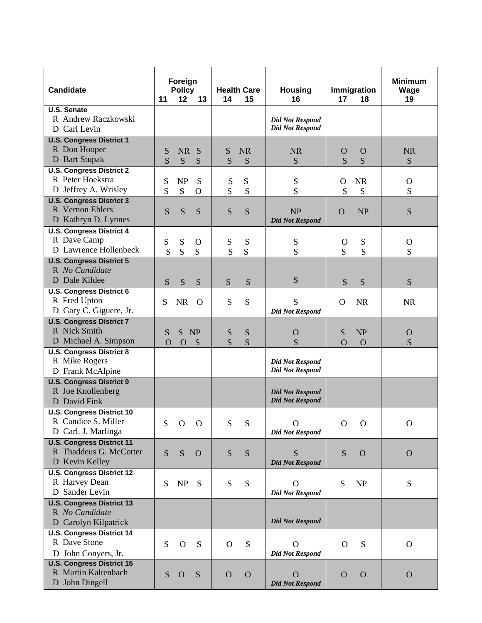| <b>U.S. Senate</b><br>R Andrew Raczkowski<br><b>Did Not Respond</b><br><b>Did Not Respond</b><br>D Carl Levin<br><b>U.S. Congress District 1</b><br>R Don Hooper<br>S<br><b>NR</b><br>S<br><b>NR</b><br><b>NR</b><br><b>NR</b><br>S<br>$\Omega$<br>$\Omega$<br>D Bart Stupak<br>S<br>S<br>S<br>S<br>S<br>S<br>S<br>S<br>S<br><b>U.S. Congress District 2</b><br>R Peter Hoekstra<br><b>NP</b><br>S<br>S<br>S<br><b>NR</b><br>S<br>${\bf S}$<br>$\Omega$<br>$\mathbf{O}$<br>D Jeffrey A. Wrisley<br>S<br>S<br>S<br>S<br>${\bf S}$<br>S<br>S<br>S<br>$\Omega$<br><b>U.S. Congress District 3</b><br>R Vernon Ehlers<br>S<br>S<br>S<br><b>NP</b><br><b>NP</b><br>S<br>S<br>S<br>$\Omega$<br>D Kathryn D. Lynnes<br><b>Did Not Respond</b><br><b>U.S. Congress District 4</b><br>R Dave Camp<br>S<br>${\bf S}$<br>S<br>${\bf S}$<br>S<br>S<br>$\mathbf{O}$<br>$\Omega$<br>$\Omega$<br>D Lawrence Hollenbeck<br>S<br>S<br>S<br>S<br>S<br>S<br>S<br>S<br>S<br><b>U.S. Congress District 5</b><br>R No Candidate<br>D Dale Kildee<br>S<br>S<br>S<br>S<br>S<br>S<br>S<br>S<br>S<br><b>U.S. Congress District 6</b><br>R Fred Upton<br>S<br>S<br><b>NR</b><br>S<br><b>NR</b><br><b>NR</b><br>S<br>$\Omega$<br>O<br>D Gary C. Giguere, Jr.<br><b>Did Not Respond</b><br><b>U.S. Congress District 7</b><br>R Nick Smith<br>S<br>NP<br>S<br>N <sub>P</sub><br>S<br>S<br>S<br>$\mathbf O$<br>$\Omega$<br>D Michael A. Simpson<br>S<br>S<br>S<br>S<br>$\overline{O}$<br>$\Omega$<br>$\Omega$<br>S<br>$\Omega$<br><b>U.S. Congress District 8</b><br>R Mike Rogers<br><b>Did Not Respond</b><br>D Frank McAlpine<br><b>Did Not Respond</b><br><b>U.S. Congress District 9</b><br>R Joe Knollenberg<br><b>Did Not Respond</b><br>D David Fink<br><b>Did Not Respond</b><br><b>U.S. Congress District 10</b><br>R Candice S. Miller<br>S<br>$\mathbf{O}$<br>$\mathbf{O}$<br>S<br>S<br>$\Omega$<br>$\overline{O}$<br>$\Omega$<br>$\mathbf O$<br>D Carl. J. Marlinga<br><b>Did Not Respond</b><br><b>U.S. Congress District 11</b><br>R Thaddeus G. McCotter<br>S<br>S<br>S<br>S<br>S<br>S<br>$\Omega$<br>$\mathbf{O}$<br>$\Omega$<br>D Kevin Kelley<br><b>Did Not Respond</b><br><b>U.S. Congress District 12</b><br>R Harvey Dean<br>S<br>${\bf S}$<br>S<br>NP<br>S<br>NP<br>S<br>S<br>$\Omega$<br>D Sander Levin<br><b>Did Not Respond</b><br><b>U.S. Congress District 13</b><br>R No Candidate<br><b>Did Not Respond</b><br>D Carolyn Kilpatrick<br><b>U.S. Congress District 14</b><br>R Dave Stone<br>${\bf S}$<br>S<br>$\mathbf{O}$<br>S<br>$\Omega$<br>S<br>$\Omega$<br>$\Omega$<br>$\Omega$<br>D John Conyers, Jr.<br><b>Did Not Respond</b><br><b>U.S. Congress District 15</b><br>R Martin Kaltenbach<br>S<br>S<br>$\mathbf{O}$<br>$\mathbf{O}$<br>$\Omega$<br>$\mathbf{O}$<br>$\Omega$<br>$\Omega$<br>$\Omega$<br>D John Dingell<br><b>Did Not Respond</b> | <b>Candidate</b> | Foreign<br><b>Policy</b><br>12<br>11<br>13 | <b>Health Care</b><br>15<br>14 | <b>Housing</b><br>16 | Immigration<br>17<br>18 | <b>Minimum</b><br>Wage<br>19 |
|-------------------------------------------------------------------------------------------------------------------------------------------------------------------------------------------------------------------------------------------------------------------------------------------------------------------------------------------------------------------------------------------------------------------------------------------------------------------------------------------------------------------------------------------------------------------------------------------------------------------------------------------------------------------------------------------------------------------------------------------------------------------------------------------------------------------------------------------------------------------------------------------------------------------------------------------------------------------------------------------------------------------------------------------------------------------------------------------------------------------------------------------------------------------------------------------------------------------------------------------------------------------------------------------------------------------------------------------------------------------------------------------------------------------------------------------------------------------------------------------------------------------------------------------------------------------------------------------------------------------------------------------------------------------------------------------------------------------------------------------------------------------------------------------------------------------------------------------------------------------------------------------------------------------------------------------------------------------------------------------------------------------------------------------------------------------------------------------------------------------------------------------------------------------------------------------------------------------------------------------------------------------------------------------------------------------------------------------------------------------------------------------------------------------------------------------------------------------------------------------------------------------------------------------------------------------------------------------------------------------------------------------------------------------------------------------------------------------------------------------------------------------------------------------------------------------------------------------------------|------------------|--------------------------------------------|--------------------------------|----------------------|-------------------------|------------------------------|
|                                                                                                                                                                                                                                                                                                                                                                                                                                                                                                                                                                                                                                                                                                                                                                                                                                                                                                                                                                                                                                                                                                                                                                                                                                                                                                                                                                                                                                                                                                                                                                                                                                                                                                                                                                                                                                                                                                                                                                                                                                                                                                                                                                                                                                                                                                                                                                                                                                                                                                                                                                                                                                                                                                                                                                                                                                                       |                  |                                            |                                |                      |                         |                              |
|                                                                                                                                                                                                                                                                                                                                                                                                                                                                                                                                                                                                                                                                                                                                                                                                                                                                                                                                                                                                                                                                                                                                                                                                                                                                                                                                                                                                                                                                                                                                                                                                                                                                                                                                                                                                                                                                                                                                                                                                                                                                                                                                                                                                                                                                                                                                                                                                                                                                                                                                                                                                                                                                                                                                                                                                                                                       |                  |                                            |                                |                      |                         |                              |
|                                                                                                                                                                                                                                                                                                                                                                                                                                                                                                                                                                                                                                                                                                                                                                                                                                                                                                                                                                                                                                                                                                                                                                                                                                                                                                                                                                                                                                                                                                                                                                                                                                                                                                                                                                                                                                                                                                                                                                                                                                                                                                                                                                                                                                                                                                                                                                                                                                                                                                                                                                                                                                                                                                                                                                                                                                                       |                  |                                            |                                |                      |                         |                              |
|                                                                                                                                                                                                                                                                                                                                                                                                                                                                                                                                                                                                                                                                                                                                                                                                                                                                                                                                                                                                                                                                                                                                                                                                                                                                                                                                                                                                                                                                                                                                                                                                                                                                                                                                                                                                                                                                                                                                                                                                                                                                                                                                                                                                                                                                                                                                                                                                                                                                                                                                                                                                                                                                                                                                                                                                                                                       |                  |                                            |                                |                      |                         |                              |
|                                                                                                                                                                                                                                                                                                                                                                                                                                                                                                                                                                                                                                                                                                                                                                                                                                                                                                                                                                                                                                                                                                                                                                                                                                                                                                                                                                                                                                                                                                                                                                                                                                                                                                                                                                                                                                                                                                                                                                                                                                                                                                                                                                                                                                                                                                                                                                                                                                                                                                                                                                                                                                                                                                                                                                                                                                                       |                  |                                            |                                |                      |                         |                              |
|                                                                                                                                                                                                                                                                                                                                                                                                                                                                                                                                                                                                                                                                                                                                                                                                                                                                                                                                                                                                                                                                                                                                                                                                                                                                                                                                                                                                                                                                                                                                                                                                                                                                                                                                                                                                                                                                                                                                                                                                                                                                                                                                                                                                                                                                                                                                                                                                                                                                                                                                                                                                                                                                                                                                                                                                                                                       |                  |                                            |                                |                      |                         |                              |
|                                                                                                                                                                                                                                                                                                                                                                                                                                                                                                                                                                                                                                                                                                                                                                                                                                                                                                                                                                                                                                                                                                                                                                                                                                                                                                                                                                                                                                                                                                                                                                                                                                                                                                                                                                                                                                                                                                                                                                                                                                                                                                                                                                                                                                                                                                                                                                                                                                                                                                                                                                                                                                                                                                                                                                                                                                                       |                  |                                            |                                |                      |                         |                              |
|                                                                                                                                                                                                                                                                                                                                                                                                                                                                                                                                                                                                                                                                                                                                                                                                                                                                                                                                                                                                                                                                                                                                                                                                                                                                                                                                                                                                                                                                                                                                                                                                                                                                                                                                                                                                                                                                                                                                                                                                                                                                                                                                                                                                                                                                                                                                                                                                                                                                                                                                                                                                                                                                                                                                                                                                                                                       |                  |                                            |                                |                      |                         |                              |
|                                                                                                                                                                                                                                                                                                                                                                                                                                                                                                                                                                                                                                                                                                                                                                                                                                                                                                                                                                                                                                                                                                                                                                                                                                                                                                                                                                                                                                                                                                                                                                                                                                                                                                                                                                                                                                                                                                                                                                                                                                                                                                                                                                                                                                                                                                                                                                                                                                                                                                                                                                                                                                                                                                                                                                                                                                                       |                  |                                            |                                |                      |                         |                              |
|                                                                                                                                                                                                                                                                                                                                                                                                                                                                                                                                                                                                                                                                                                                                                                                                                                                                                                                                                                                                                                                                                                                                                                                                                                                                                                                                                                                                                                                                                                                                                                                                                                                                                                                                                                                                                                                                                                                                                                                                                                                                                                                                                                                                                                                                                                                                                                                                                                                                                                                                                                                                                                                                                                                                                                                                                                                       |                  |                                            |                                |                      |                         |                              |
|                                                                                                                                                                                                                                                                                                                                                                                                                                                                                                                                                                                                                                                                                                                                                                                                                                                                                                                                                                                                                                                                                                                                                                                                                                                                                                                                                                                                                                                                                                                                                                                                                                                                                                                                                                                                                                                                                                                                                                                                                                                                                                                                                                                                                                                                                                                                                                                                                                                                                                                                                                                                                                                                                                                                                                                                                                                       |                  |                                            |                                |                      |                         |                              |
|                                                                                                                                                                                                                                                                                                                                                                                                                                                                                                                                                                                                                                                                                                                                                                                                                                                                                                                                                                                                                                                                                                                                                                                                                                                                                                                                                                                                                                                                                                                                                                                                                                                                                                                                                                                                                                                                                                                                                                                                                                                                                                                                                                                                                                                                                                                                                                                                                                                                                                                                                                                                                                                                                                                                                                                                                                                       |                  |                                            |                                |                      |                         |                              |
|                                                                                                                                                                                                                                                                                                                                                                                                                                                                                                                                                                                                                                                                                                                                                                                                                                                                                                                                                                                                                                                                                                                                                                                                                                                                                                                                                                                                                                                                                                                                                                                                                                                                                                                                                                                                                                                                                                                                                                                                                                                                                                                                                                                                                                                                                                                                                                                                                                                                                                                                                                                                                                                                                                                                                                                                                                                       |                  |                                            |                                |                      |                         |                              |
|                                                                                                                                                                                                                                                                                                                                                                                                                                                                                                                                                                                                                                                                                                                                                                                                                                                                                                                                                                                                                                                                                                                                                                                                                                                                                                                                                                                                                                                                                                                                                                                                                                                                                                                                                                                                                                                                                                                                                                                                                                                                                                                                                                                                                                                                                                                                                                                                                                                                                                                                                                                                                                                                                                                                                                                                                                                       |                  |                                            |                                |                      |                         |                              |
|                                                                                                                                                                                                                                                                                                                                                                                                                                                                                                                                                                                                                                                                                                                                                                                                                                                                                                                                                                                                                                                                                                                                                                                                                                                                                                                                                                                                                                                                                                                                                                                                                                                                                                                                                                                                                                                                                                                                                                                                                                                                                                                                                                                                                                                                                                                                                                                                                                                                                                                                                                                                                                                                                                                                                                                                                                                       |                  |                                            |                                |                      |                         |                              |
|                                                                                                                                                                                                                                                                                                                                                                                                                                                                                                                                                                                                                                                                                                                                                                                                                                                                                                                                                                                                                                                                                                                                                                                                                                                                                                                                                                                                                                                                                                                                                                                                                                                                                                                                                                                                                                                                                                                                                                                                                                                                                                                                                                                                                                                                                                                                                                                                                                                                                                                                                                                                                                                                                                                                                                                                                                                       |                  |                                            |                                |                      |                         |                              |
|                                                                                                                                                                                                                                                                                                                                                                                                                                                                                                                                                                                                                                                                                                                                                                                                                                                                                                                                                                                                                                                                                                                                                                                                                                                                                                                                                                                                                                                                                                                                                                                                                                                                                                                                                                                                                                                                                                                                                                                                                                                                                                                                                                                                                                                                                                                                                                                                                                                                                                                                                                                                                                                                                                                                                                                                                                                       |                  |                                            |                                |                      |                         |                              |
|                                                                                                                                                                                                                                                                                                                                                                                                                                                                                                                                                                                                                                                                                                                                                                                                                                                                                                                                                                                                                                                                                                                                                                                                                                                                                                                                                                                                                                                                                                                                                                                                                                                                                                                                                                                                                                                                                                                                                                                                                                                                                                                                                                                                                                                                                                                                                                                                                                                                                                                                                                                                                                                                                                                                                                                                                                                       |                  |                                            |                                |                      |                         |                              |
|                                                                                                                                                                                                                                                                                                                                                                                                                                                                                                                                                                                                                                                                                                                                                                                                                                                                                                                                                                                                                                                                                                                                                                                                                                                                                                                                                                                                                                                                                                                                                                                                                                                                                                                                                                                                                                                                                                                                                                                                                                                                                                                                                                                                                                                                                                                                                                                                                                                                                                                                                                                                                                                                                                                                                                                                                                                       |                  |                                            |                                |                      |                         |                              |
|                                                                                                                                                                                                                                                                                                                                                                                                                                                                                                                                                                                                                                                                                                                                                                                                                                                                                                                                                                                                                                                                                                                                                                                                                                                                                                                                                                                                                                                                                                                                                                                                                                                                                                                                                                                                                                                                                                                                                                                                                                                                                                                                                                                                                                                                                                                                                                                                                                                                                                                                                                                                                                                                                                                                                                                                                                                       |                  |                                            |                                |                      |                         |                              |
|                                                                                                                                                                                                                                                                                                                                                                                                                                                                                                                                                                                                                                                                                                                                                                                                                                                                                                                                                                                                                                                                                                                                                                                                                                                                                                                                                                                                                                                                                                                                                                                                                                                                                                                                                                                                                                                                                                                                                                                                                                                                                                                                                                                                                                                                                                                                                                                                                                                                                                                                                                                                                                                                                                                                                                                                                                                       |                  |                                            |                                |                      |                         |                              |
|                                                                                                                                                                                                                                                                                                                                                                                                                                                                                                                                                                                                                                                                                                                                                                                                                                                                                                                                                                                                                                                                                                                                                                                                                                                                                                                                                                                                                                                                                                                                                                                                                                                                                                                                                                                                                                                                                                                                                                                                                                                                                                                                                                                                                                                                                                                                                                                                                                                                                                                                                                                                                                                                                                                                                                                                                                                       |                  |                                            |                                |                      |                         |                              |
|                                                                                                                                                                                                                                                                                                                                                                                                                                                                                                                                                                                                                                                                                                                                                                                                                                                                                                                                                                                                                                                                                                                                                                                                                                                                                                                                                                                                                                                                                                                                                                                                                                                                                                                                                                                                                                                                                                                                                                                                                                                                                                                                                                                                                                                                                                                                                                                                                                                                                                                                                                                                                                                                                                                                                                                                                                                       |                  |                                            |                                |                      |                         |                              |
|                                                                                                                                                                                                                                                                                                                                                                                                                                                                                                                                                                                                                                                                                                                                                                                                                                                                                                                                                                                                                                                                                                                                                                                                                                                                                                                                                                                                                                                                                                                                                                                                                                                                                                                                                                                                                                                                                                                                                                                                                                                                                                                                                                                                                                                                                                                                                                                                                                                                                                                                                                                                                                                                                                                                                                                                                                                       |                  |                                            |                                |                      |                         |                              |
|                                                                                                                                                                                                                                                                                                                                                                                                                                                                                                                                                                                                                                                                                                                                                                                                                                                                                                                                                                                                                                                                                                                                                                                                                                                                                                                                                                                                                                                                                                                                                                                                                                                                                                                                                                                                                                                                                                                                                                                                                                                                                                                                                                                                                                                                                                                                                                                                                                                                                                                                                                                                                                                                                                                                                                                                                                                       |                  |                                            |                                |                      |                         |                              |
|                                                                                                                                                                                                                                                                                                                                                                                                                                                                                                                                                                                                                                                                                                                                                                                                                                                                                                                                                                                                                                                                                                                                                                                                                                                                                                                                                                                                                                                                                                                                                                                                                                                                                                                                                                                                                                                                                                                                                                                                                                                                                                                                                                                                                                                                                                                                                                                                                                                                                                                                                                                                                                                                                                                                                                                                                                                       |                  |                                            |                                |                      |                         |                              |
|                                                                                                                                                                                                                                                                                                                                                                                                                                                                                                                                                                                                                                                                                                                                                                                                                                                                                                                                                                                                                                                                                                                                                                                                                                                                                                                                                                                                                                                                                                                                                                                                                                                                                                                                                                                                                                                                                                                                                                                                                                                                                                                                                                                                                                                                                                                                                                                                                                                                                                                                                                                                                                                                                                                                                                                                                                                       |                  |                                            |                                |                      |                         |                              |
|                                                                                                                                                                                                                                                                                                                                                                                                                                                                                                                                                                                                                                                                                                                                                                                                                                                                                                                                                                                                                                                                                                                                                                                                                                                                                                                                                                                                                                                                                                                                                                                                                                                                                                                                                                                                                                                                                                                                                                                                                                                                                                                                                                                                                                                                                                                                                                                                                                                                                                                                                                                                                                                                                                                                                                                                                                                       |                  |                                            |                                |                      |                         |                              |
|                                                                                                                                                                                                                                                                                                                                                                                                                                                                                                                                                                                                                                                                                                                                                                                                                                                                                                                                                                                                                                                                                                                                                                                                                                                                                                                                                                                                                                                                                                                                                                                                                                                                                                                                                                                                                                                                                                                                                                                                                                                                                                                                                                                                                                                                                                                                                                                                                                                                                                                                                                                                                                                                                                                                                                                                                                                       |                  |                                            |                                |                      |                         |                              |
|                                                                                                                                                                                                                                                                                                                                                                                                                                                                                                                                                                                                                                                                                                                                                                                                                                                                                                                                                                                                                                                                                                                                                                                                                                                                                                                                                                                                                                                                                                                                                                                                                                                                                                                                                                                                                                                                                                                                                                                                                                                                                                                                                                                                                                                                                                                                                                                                                                                                                                                                                                                                                                                                                                                                                                                                                                                       |                  |                                            |                                |                      |                         |                              |
|                                                                                                                                                                                                                                                                                                                                                                                                                                                                                                                                                                                                                                                                                                                                                                                                                                                                                                                                                                                                                                                                                                                                                                                                                                                                                                                                                                                                                                                                                                                                                                                                                                                                                                                                                                                                                                                                                                                                                                                                                                                                                                                                                                                                                                                                                                                                                                                                                                                                                                                                                                                                                                                                                                                                                                                                                                                       |                  |                                            |                                |                      |                         |                              |
|                                                                                                                                                                                                                                                                                                                                                                                                                                                                                                                                                                                                                                                                                                                                                                                                                                                                                                                                                                                                                                                                                                                                                                                                                                                                                                                                                                                                                                                                                                                                                                                                                                                                                                                                                                                                                                                                                                                                                                                                                                                                                                                                                                                                                                                                                                                                                                                                                                                                                                                                                                                                                                                                                                                                                                                                                                                       |                  |                                            |                                |                      |                         |                              |
|                                                                                                                                                                                                                                                                                                                                                                                                                                                                                                                                                                                                                                                                                                                                                                                                                                                                                                                                                                                                                                                                                                                                                                                                                                                                                                                                                                                                                                                                                                                                                                                                                                                                                                                                                                                                                                                                                                                                                                                                                                                                                                                                                                                                                                                                                                                                                                                                                                                                                                                                                                                                                                                                                                                                                                                                                                                       |                  |                                            |                                |                      |                         |                              |
|                                                                                                                                                                                                                                                                                                                                                                                                                                                                                                                                                                                                                                                                                                                                                                                                                                                                                                                                                                                                                                                                                                                                                                                                                                                                                                                                                                                                                                                                                                                                                                                                                                                                                                                                                                                                                                                                                                                                                                                                                                                                                                                                                                                                                                                                                                                                                                                                                                                                                                                                                                                                                                                                                                                                                                                                                                                       |                  |                                            |                                |                      |                         |                              |
|                                                                                                                                                                                                                                                                                                                                                                                                                                                                                                                                                                                                                                                                                                                                                                                                                                                                                                                                                                                                                                                                                                                                                                                                                                                                                                                                                                                                                                                                                                                                                                                                                                                                                                                                                                                                                                                                                                                                                                                                                                                                                                                                                                                                                                                                                                                                                                                                                                                                                                                                                                                                                                                                                                                                                                                                                                                       |                  |                                            |                                |                      |                         |                              |
|                                                                                                                                                                                                                                                                                                                                                                                                                                                                                                                                                                                                                                                                                                                                                                                                                                                                                                                                                                                                                                                                                                                                                                                                                                                                                                                                                                                                                                                                                                                                                                                                                                                                                                                                                                                                                                                                                                                                                                                                                                                                                                                                                                                                                                                                                                                                                                                                                                                                                                                                                                                                                                                                                                                                                                                                                                                       |                  |                                            |                                |                      |                         |                              |
|                                                                                                                                                                                                                                                                                                                                                                                                                                                                                                                                                                                                                                                                                                                                                                                                                                                                                                                                                                                                                                                                                                                                                                                                                                                                                                                                                                                                                                                                                                                                                                                                                                                                                                                                                                                                                                                                                                                                                                                                                                                                                                                                                                                                                                                                                                                                                                                                                                                                                                                                                                                                                                                                                                                                                                                                                                                       |                  |                                            |                                |                      |                         |                              |
|                                                                                                                                                                                                                                                                                                                                                                                                                                                                                                                                                                                                                                                                                                                                                                                                                                                                                                                                                                                                                                                                                                                                                                                                                                                                                                                                                                                                                                                                                                                                                                                                                                                                                                                                                                                                                                                                                                                                                                                                                                                                                                                                                                                                                                                                                                                                                                                                                                                                                                                                                                                                                                                                                                                                                                                                                                                       |                  |                                            |                                |                      |                         |                              |
|                                                                                                                                                                                                                                                                                                                                                                                                                                                                                                                                                                                                                                                                                                                                                                                                                                                                                                                                                                                                                                                                                                                                                                                                                                                                                                                                                                                                                                                                                                                                                                                                                                                                                                                                                                                                                                                                                                                                                                                                                                                                                                                                                                                                                                                                                                                                                                                                                                                                                                                                                                                                                                                                                                                                                                                                                                                       |                  |                                            |                                |                      |                         |                              |
|                                                                                                                                                                                                                                                                                                                                                                                                                                                                                                                                                                                                                                                                                                                                                                                                                                                                                                                                                                                                                                                                                                                                                                                                                                                                                                                                                                                                                                                                                                                                                                                                                                                                                                                                                                                                                                                                                                                                                                                                                                                                                                                                                                                                                                                                                                                                                                                                                                                                                                                                                                                                                                                                                                                                                                                                                                                       |                  |                                            |                                |                      |                         |                              |
|                                                                                                                                                                                                                                                                                                                                                                                                                                                                                                                                                                                                                                                                                                                                                                                                                                                                                                                                                                                                                                                                                                                                                                                                                                                                                                                                                                                                                                                                                                                                                                                                                                                                                                                                                                                                                                                                                                                                                                                                                                                                                                                                                                                                                                                                                                                                                                                                                                                                                                                                                                                                                                                                                                                                                                                                                                                       |                  |                                            |                                |                      |                         |                              |
|                                                                                                                                                                                                                                                                                                                                                                                                                                                                                                                                                                                                                                                                                                                                                                                                                                                                                                                                                                                                                                                                                                                                                                                                                                                                                                                                                                                                                                                                                                                                                                                                                                                                                                                                                                                                                                                                                                                                                                                                                                                                                                                                                                                                                                                                                                                                                                                                                                                                                                                                                                                                                                                                                                                                                                                                                                                       |                  |                                            |                                |                      |                         |                              |
|                                                                                                                                                                                                                                                                                                                                                                                                                                                                                                                                                                                                                                                                                                                                                                                                                                                                                                                                                                                                                                                                                                                                                                                                                                                                                                                                                                                                                                                                                                                                                                                                                                                                                                                                                                                                                                                                                                                                                                                                                                                                                                                                                                                                                                                                                                                                                                                                                                                                                                                                                                                                                                                                                                                                                                                                                                                       |                  |                                            |                                |                      |                         |                              |
|                                                                                                                                                                                                                                                                                                                                                                                                                                                                                                                                                                                                                                                                                                                                                                                                                                                                                                                                                                                                                                                                                                                                                                                                                                                                                                                                                                                                                                                                                                                                                                                                                                                                                                                                                                                                                                                                                                                                                                                                                                                                                                                                                                                                                                                                                                                                                                                                                                                                                                                                                                                                                                                                                                                                                                                                                                                       |                  |                                            |                                |                      |                         |                              |
|                                                                                                                                                                                                                                                                                                                                                                                                                                                                                                                                                                                                                                                                                                                                                                                                                                                                                                                                                                                                                                                                                                                                                                                                                                                                                                                                                                                                                                                                                                                                                                                                                                                                                                                                                                                                                                                                                                                                                                                                                                                                                                                                                                                                                                                                                                                                                                                                                                                                                                                                                                                                                                                                                                                                                                                                                                                       |                  |                                            |                                |                      |                         |                              |
|                                                                                                                                                                                                                                                                                                                                                                                                                                                                                                                                                                                                                                                                                                                                                                                                                                                                                                                                                                                                                                                                                                                                                                                                                                                                                                                                                                                                                                                                                                                                                                                                                                                                                                                                                                                                                                                                                                                                                                                                                                                                                                                                                                                                                                                                                                                                                                                                                                                                                                                                                                                                                                                                                                                                                                                                                                                       |                  |                                            |                                |                      |                         |                              |
|                                                                                                                                                                                                                                                                                                                                                                                                                                                                                                                                                                                                                                                                                                                                                                                                                                                                                                                                                                                                                                                                                                                                                                                                                                                                                                                                                                                                                                                                                                                                                                                                                                                                                                                                                                                                                                                                                                                                                                                                                                                                                                                                                                                                                                                                                                                                                                                                                                                                                                                                                                                                                                                                                                                                                                                                                                                       |                  |                                            |                                |                      |                         |                              |